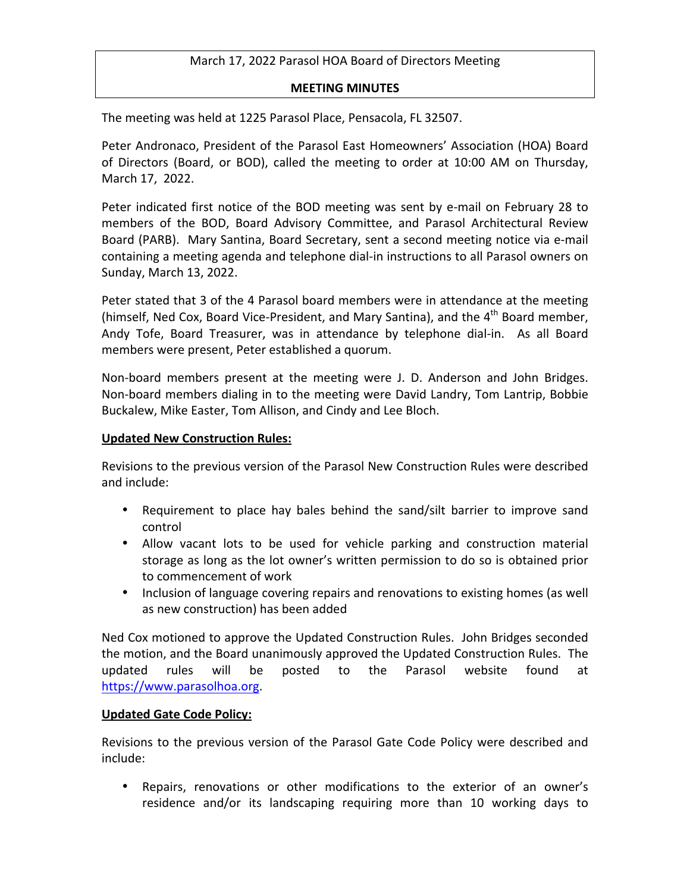### March 17, 2022 Parasol HOA Board of Directors Meeting

#### **MEETING MINUTES**

The meeting was held at 1225 Parasol Place, Pensacola, FL 32507.

Peter Andronaco, President of the Parasol East Homeowners' Association (HOA) Board of Directors (Board, or BOD), called the meeting to order at 10:00 AM on Thursday, March 17, 2022.

Peter indicated first notice of the BOD meeting was sent by e-mail on February 28 to members of the BOD, Board Advisory Committee, and Parasol Architectural Review Board (PARB). Mary Santina, Board Secretary, sent a second meeting notice via e-mail containing a meeting agenda and telephone dial-in instructions to all Parasol owners on Sunday, March 13, 2022.

Peter stated that 3 of the 4 Parasol board members were in attendance at the meeting (himself, Ned Cox, Board Vice-President, and Mary Santina), and the  $4^{\text{th}}$  Board member, Andy Tofe, Board Treasurer, was in attendance by telephone dial-in. As all Board members were present, Peter established a quorum.

Non-board members present at the meeting were J. D. Anderson and John Bridges. Non-board members dialing in to the meeting were David Landry, Tom Lantrip, Bobbie Buckalew, Mike Easter, Tom Allison, and Cindy and Lee Bloch.

#### **Updated New Construction Rules:**

Revisions to the previous version of the Parasol New Construction Rules were described and include:

- Requirement to place hay bales behind the sand/silt barrier to improve sand control
- Allow vacant lots to be used for vehicle parking and construction material storage as long as the lot owner's written permission to do so is obtained prior to commencement of work
- Inclusion of language covering repairs and renovations to existing homes (as well as new construction) has been added

Ned Cox motioned to approve the Updated Construction Rules. John Bridges seconded the motion, and the Board unanimously approved the Updated Construction Rules. The updated rules will be posted to the Parasol website found at https://www.parasolhoa.org.

### **Updated Gate Code Policy:**

Revisions to the previous version of the Parasol Gate Code Policy were described and include:

• Repairs, renovations or other modifications to the exterior of an owner's residence and/or its landscaping requiring more than 10 working days to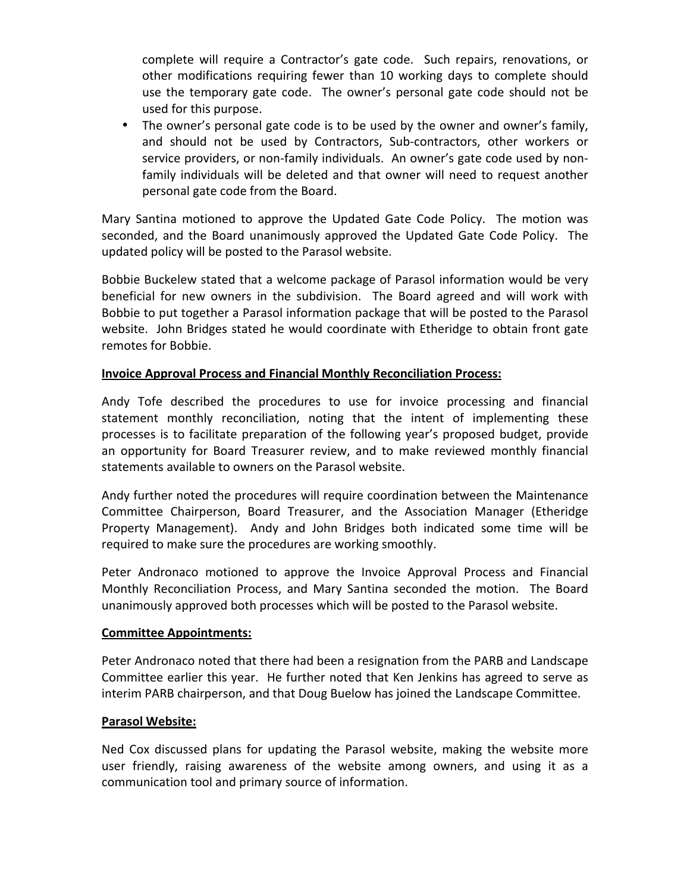complete will require a Contractor's gate code. Such repairs, renovations, or other modifications requiring fewer than 10 working days to complete should use the temporary gate code. The owner's personal gate code should not be used for this purpose.

• The owner's personal gate code is to be used by the owner and owner's family, and should not be used by Contractors, Sub-contractors, other workers or service providers, or non-family individuals. An owner's gate code used by nonfamily individuals will be deleted and that owner will need to request another personal gate code from the Board.

Mary Santina motioned to approve the Updated Gate Code Policy. The motion was seconded, and the Board unanimously approved the Updated Gate Code Policy. The updated policy will be posted to the Parasol website.

Bobbie Buckelew stated that a welcome package of Parasol information would be very beneficial for new owners in the subdivision. The Board agreed and will work with Bobbie to put together a Parasol information package that will be posted to the Parasol website. John Bridges stated he would coordinate with Etheridge to obtain front gate remotes for Bobbie.

# **Invoice Approval Process and Financial Monthly Reconciliation Process:**

Andy Tofe described the procedures to use for invoice processing and financial statement monthly reconciliation, noting that the intent of implementing these processes is to facilitate preparation of the following year's proposed budget, provide an opportunity for Board Treasurer review, and to make reviewed monthly financial statements available to owners on the Parasol website.

Andy further noted the procedures will require coordination between the Maintenance Committee Chairperson, Board Treasurer, and the Association Manager (Etheridge Property Management). Andy and John Bridges both indicated some time will be required to make sure the procedures are working smoothly.

Peter Andronaco motioned to approve the Invoice Approval Process and Financial Monthly Reconciliation Process, and Mary Santina seconded the motion. The Board unanimously approved both processes which will be posted to the Parasol website.

### **Committee Appointments:**

Peter Andronaco noted that there had been a resignation from the PARB and Landscape Committee earlier this year. He further noted that Ken Jenkins has agreed to serve as interim PARB chairperson, and that Doug Buelow has joined the Landscape Committee.

# **Parasol Website:**

Ned Cox discussed plans for updating the Parasol website, making the website more user friendly, raising awareness of the website among owners, and using it as a communication tool and primary source of information.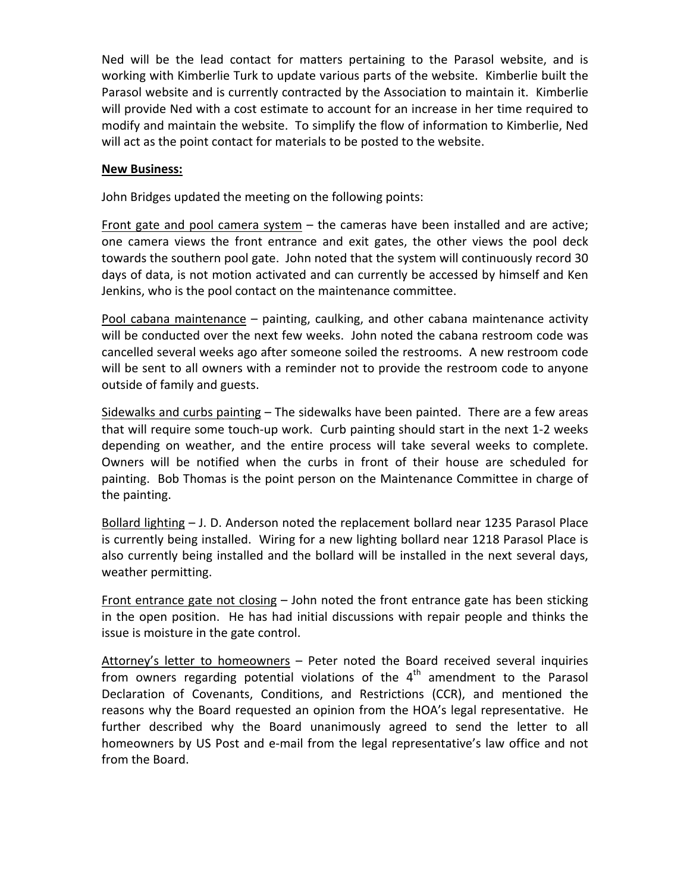Ned will be the lead contact for matters pertaining to the Parasol website, and is working with Kimberlie Turk to update various parts of the website. Kimberlie built the Parasol website and is currently contracted by the Association to maintain it. Kimberlie will provide Ned with a cost estimate to account for an increase in her time required to modify and maintain the website. To simplify the flow of information to Kimberlie, Ned will act as the point contact for materials to be posted to the website.

### **New Business:**

John Bridges updated the meeting on the following points:

Front gate and pool camera system  $-$  the cameras have been installed and are active; one camera views the front entrance and exit gates, the other views the pool deck towards the southern pool gate. John noted that the system will continuously record 30 days of data, is not motion activated and can currently be accessed by himself and Ken Jenkins, who is the pool contact on the maintenance committee.

Pool cabana maintenance  $-$  painting, caulking, and other cabana maintenance activity will be conducted over the next few weeks. John noted the cabana restroom code was cancelled several weeks ago after someone soiled the restrooms. A new restroom code will be sent to all owners with a reminder not to provide the restroom code to anyone outside of family and guests.

Sidewalks and curbs painting  $-$  The sidewalks have been painted. There are a few areas that will require some touch-up work. Curb painting should start in the next 1-2 weeks depending on weather, and the entire process will take several weeks to complete. Owners will be notified when the curbs in front of their house are scheduled for painting. Bob Thomas is the point person on the Maintenance Committee in charge of the painting.

Bollard lighting  $-$  J. D. Anderson noted the replacement bollard near 1235 Parasol Place is currently being installed. Wiring for a new lighting bollard near 1218 Parasol Place is also currently being installed and the bollard will be installed in the next several days, weather permitting.

Front entrance gate not closing  $-$  John noted the front entrance gate has been sticking in the open position. He has had initial discussions with repair people and thinks the issue is moisture in the gate control.

Attorney's letter to homeowners  $-$  Peter noted the Board received several inquiries from owners regarding potential violations of the  $4<sup>th</sup>$  amendment to the Parasol Declaration of Covenants, Conditions, and Restrictions (CCR), and mentioned the reasons why the Board requested an opinion from the HOA's legal representative. He further described why the Board unanimously agreed to send the letter to all homeowners by US Post and e-mail from the legal representative's law office and not from the Board.